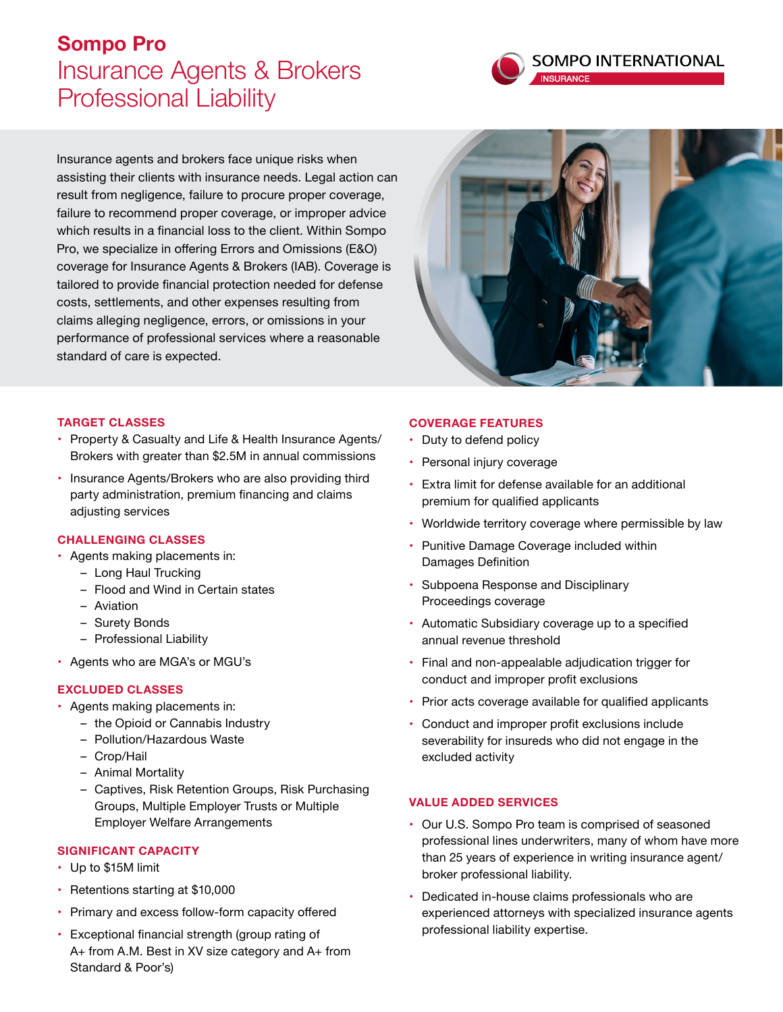# **Sompo Pro** Insurance Agents & Brokers Professional Liability



Insurance agents and brokers face unique risks when assisting their clients with insurance needs. Legal action can result from negligence, failure to procure proper coverage, failure to recommend proper coverage, or improper advice which results in a financial loss to the client. Within Sompo Pro, we specialize in offering Errors and Omissions (E&O) coverage for Insurance Agents & Brokers (IAB). Coverage is tailored to provide financial protection needed for defense costs, settlements, and other expenses resulting from claims alleging negligence, errors, or omissions in your performance of professional services where a reasonable standard of care is expected.



#### **TARGET CLASSES**

- Property & Casualty and Life & Health Insurance Agents/ Brokers with greater than \$2.5M in annual commissions
- Insurance Agents/Brokers who are also providing third party administration, premium financing and claims adjusting services

#### **CHALLENGING CLASSES**

- Agents making placements in:
	- Long Haul Trucking
	- Flood and Wind in Certain states
	- Aviation
	- Surety Bonds
	- Professional Liability
- Agents who are MGA's or MGU's

#### **EXCLUDED CLASSES**

- Agents making placements in:
	- the Opioid or Cannabis Industry
	- Pollution/Hazardous Waste
	- Crop/Hail
	- Animal Mortality
	- Captives, Risk Retention Groups, Risk Purchasing Groups, Multiple Employer Trusts or Multiple Employer Welfare Arrangements

#### **SIGNIFICANT CAPACITY**

- Up to \$15M limit
- Retentions starting at \$10,000
- Primary and excess follow-form capacity offered
- Exceptional financial strength (group rating of A+ from A.M. Best in XV size category and A+ from Standard & Poor's)

#### **COVERAGE FEATURES**

- Duty to defend policy
- Personal injury coverage
- Extra limit for defense available for an additional premium for qualified applicants
- Worldwide territory coverage where permissible by law
- Punitive Damage Coverage included within Damages Definition
- Subpoena Response and Disciplinary Proceedings coverage
- Automatic Subsidiary coverage up to a specified annual revenue threshold
- Final and non-appealable adjudication trigger for conduct and improper profit exclusions
- Prior acts coverage available for qualified applicants
- Conduct and improper profit exclusions include severability for insureds who did not engage in the excluded activity

#### **VALUE ADDED SERVICES**

- Our U.S. Sompo Pro team is comprised of seasoned professional lines underwriters, many of whom have more than 25 years of experience in writing insurance agent/ broker professional liability.
- Dedicated in-house claims professionals who are experienced attorneys with specialized insurance agents professional liability expertise.